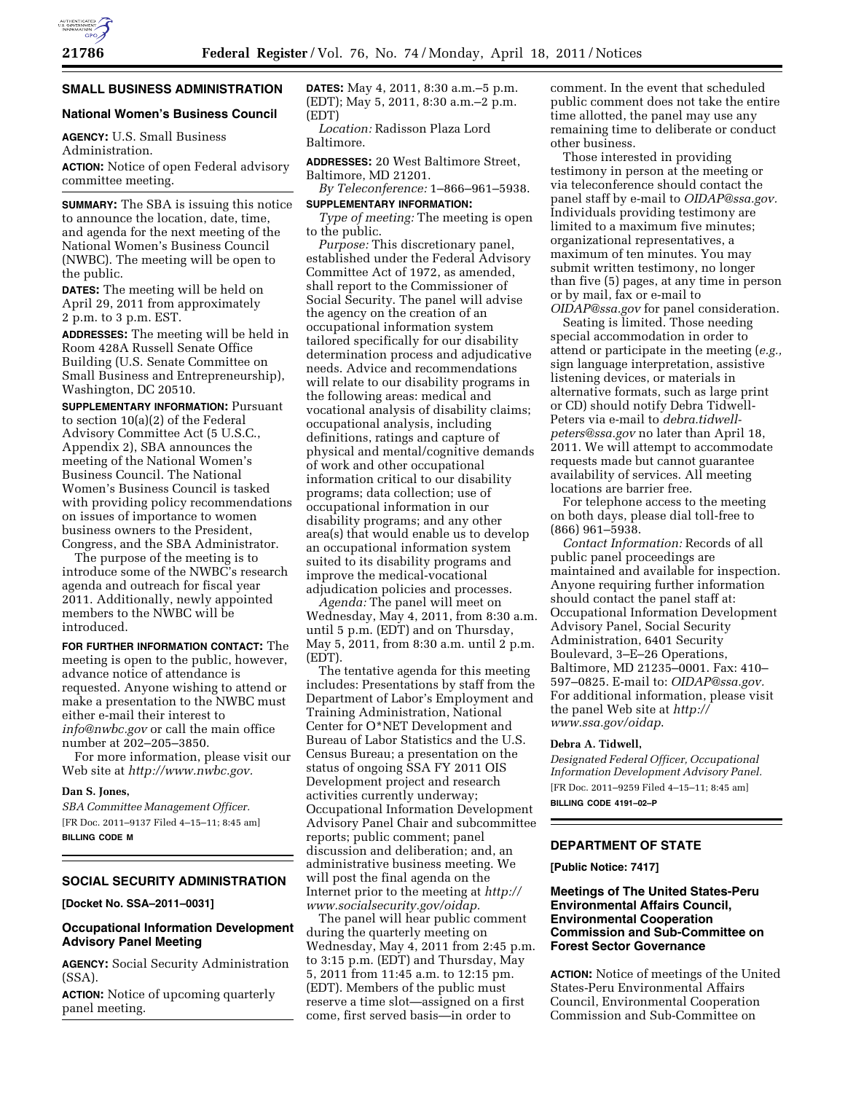# **SMALL BUSINESS ADMINISTRATION**

## **National Women's Business Council**

**AGENCY:** U.S. Small Business Administration.

**ACTION:** Notice of open Federal advisory committee meeting.

**SUMMARY:** The SBA is issuing this notice to announce the location, date, time, and agenda for the next meeting of the National Women's Business Council (NWBC). The meeting will be open to the public.

**DATES:** The meeting will be held on April 29, 2011 from approximately 2 p.m. to 3 p.m. EST.

**ADDRESSES:** The meeting will be held in Room 428A Russell Senate Office Building (U.S. Senate Committee on Small Business and Entrepreneurship), Washington, DC 20510.

**SUPPLEMENTARY INFORMATION:** Pursuant to section 10(a)(2) of the Federal Advisory Committee Act (5 U.S.C., Appendix 2), SBA announces the meeting of the National Women's Business Council. The National Women's Business Council is tasked with providing policy recommendations on issues of importance to women business owners to the President, Congress, and the SBA Administrator.

The purpose of the meeting is to introduce some of the NWBC's research agenda and outreach for fiscal year 2011. Additionally, newly appointed members to the NWBC will be introduced.

**FOR FURTHER INFORMATION CONTACT:** The meeting is open to the public, however, advance notice of attendance is requested. Anyone wishing to attend or make a presentation to the NWBC must either e-mail their interest to *[info@nwbc.gov](mailto:info@nwbc.gov)* or call the main office number at 202–205–3850.

For more information, please visit our Web site at *[http://www.nwbc.gov.](http://www.nwbc.gov)* 

## **Dan S. Jones,**

*SBA Committee Management Officer.*  [FR Doc. 2011–9137 Filed 4–15–11; 8:45 am] **BILLING CODE M** 

# **SOCIAL SECURITY ADMINISTRATION**

**[Docket No. SSA–2011–0031]** 

## **Occupational Information Development Advisory Panel Meeting**

**AGENCY:** Social Security Administration (SSA).

**ACTION:** Notice of upcoming quarterly panel meeting.

**DATES:** May 4, 2011, 8:30 a.m.–5 p.m. (EDT); May 5, 2011, 8:30 a.m.–2 p.m. (EDT)

*Location:* Radisson Plaza Lord Baltimore.

**ADDRESSES:** 20 West Baltimore Street, Baltimore, MD 21201.

*By Teleconference:* 1–866–961–5938.

**SUPPLEMENTARY INFORMATION:**  *Type of meeting:* The meeting is open to the public.

*Purpose:* This discretionary panel, established under the Federal Advisory Committee Act of 1972, as amended, shall report to the Commissioner of Social Security. The panel will advise the agency on the creation of an occupational information system tailored specifically for our disability determination process and adjudicative needs. Advice and recommendations will relate to our disability programs in the following areas: medical and vocational analysis of disability claims; occupational analysis, including definitions, ratings and capture of physical and mental/cognitive demands of work and other occupational information critical to our disability programs; data collection; use of occupational information in our disability programs; and any other area(s) that would enable us to develop an occupational information system suited to its disability programs and improve the medical-vocational adjudication policies and processes.

*Agenda:* The panel will meet on Wednesday, May 4, 2011, from 8:30 a.m. until 5 p.m. (EDT) and on Thursday, May 5, 2011, from 8:30 a.m. until 2 p.m. (EDT).

The tentative agenda for this meeting includes: Presentations by staff from the Department of Labor's Employment and Training Administration, National Center for O\*NET Development and Bureau of Labor Statistics and the U.S. Census Bureau; a presentation on the status of ongoing SSA FY 2011 OIS Development project and research activities currently underway; Occupational Information Development Advisory Panel Chair and subcommittee reports; public comment; panel discussion and deliberation; and, an administrative business meeting. We will post the final agenda on the Internet prior to the meeting at *[http://](http://www.socialsecurity.gov/oidap)  [www.socialsecurity.gov/oidap.](http://www.socialsecurity.gov/oidap)* 

The panel will hear public comment during the quarterly meeting on Wednesday, May 4, 2011 from 2:45 p.m. to 3:15 p.m. (EDT) and Thursday, May 5, 2011 from 11:45 a.m. to 12:15 pm. (EDT). Members of the public must reserve a time slot—assigned on a first come, first served basis—in order to

comment. In the event that scheduled public comment does not take the entire time allotted, the panel may use any remaining time to deliberate or conduct other business.

Those interested in providing testimony in person at the meeting or via teleconference should contact the panel staff by e-mail to *[OIDAP@ssa.gov.](mailto:OIDAP@ssa.gov)*  Individuals providing testimony are limited to a maximum five minutes; organizational representatives, a maximum of ten minutes. You may submit written testimony, no longer than five (5) pages, at any time in person or by mail, fax or e-mail to *[OIDAP@ssa.gov](mailto:OIDAP@ssa.gov)* for panel consideration.

Seating is limited. Those needing special accommodation in order to attend or participate in the meeting (*e.g.,*  sign language interpretation, assistive listening devices, or materials in alternative formats, such as large print or CD) should notify Debra Tidwell-Peters via e-mail to *[debra.tidwell](mailto:debra.tidwell-peters@ssa.gov)[peters@ssa.gov](mailto:debra.tidwell-peters@ssa.gov)* no later than April 18, 2011. We will attempt to accommodate requests made but cannot guarantee availability of services. All meeting locations are barrier free.

For telephone access to the meeting on both days, please dial toll-free to (866) 961–5938.

*Contact Information:* Records of all public panel proceedings are maintained and available for inspection. Anyone requiring further information should contact the panel staff at: Occupational Information Development Advisory Panel, Social Security Administration, 6401 Security Boulevard, 3–E–26 Operations, Baltimore, MD 21235–0001. Fax: 410– 597–0825. E-mail to: *[OIDAP@ssa.gov.](mailto:OIDAP@ssa.gov)*  For additional information, please visit the panel Web site at *[http://](http://www.ssa.gov/oidap) [www.ssa.gov/oidap](http://www.ssa.gov/oidap)*.

#### **Debra A. Tidwell,**

*Designated Federal Officer, Occupational Information Development Advisory Panel.*  [FR Doc. 2011–9259 Filed 4–15–11; 8:45 am] **BILLING CODE 4191–02–P** 

# **DEPARTMENT OF STATE**

**[Public Notice: 7417]** 

## **Meetings of The United States-Peru Environmental Affairs Council, Environmental Cooperation Commission and Sub-Committee on Forest Sector Governance**

**ACTION:** Notice of meetings of the United States-Peru Environmental Affairs Council, Environmental Cooperation Commission and Sub-Committee on